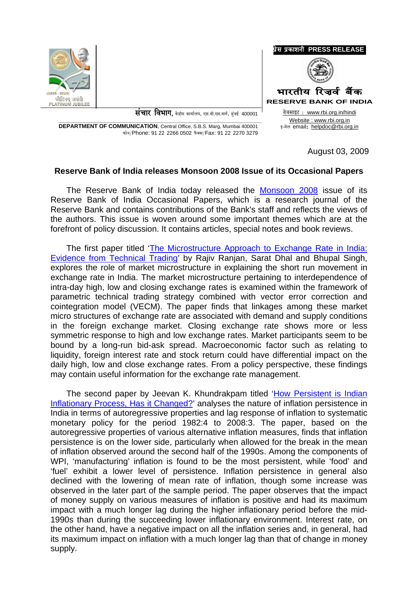



संचार विभाग, केंद्रीय कार्यालय, एस.बी.एस.मार्ग, मुंबई 400001

**DEPARTMENT OF COMMUNICATION.** Central Office, S.B.S. Marg, Mumbai 400001 फोन/Phone: 91 22 2266 0502 फैक्स/Fax: 91 22 2270 3279

वेबसाइट: www.rbi.org.in/hindi Website: www.rbi.org.in इ-मेल email: helpdoc@rbi.org.in

August 03, 2009

## Reserve Bank of India releases Monsoon 2008 Issue of its Occasional Papers

The Reserve Bank of India today released the Monsoon 2008 issue of its Reserve Bank of India Occasional Papers, which is a research journal of the Reserve Bank and contains contributions of the Bank's staff and reflects the views of the authors. This issue is woven around some important themes which are at the forefront of policy discussion. It contains articles, special notes and book reviews.

The first paper titled 'The Microstructure Approach to Exchange Rate in India: Evidence from Technical Trading' by Rajiv Ranjan, Sarat Dhal and Bhupal Singh. explores the role of market microstructure in explaining the short run movement in exchange rate in India. The market microstructure pertaining to interdependence of intra-day high, low and closing exchange rates is examined within the framework of parametric technical trading strategy combined with vector error correction and cointegration model (VECM). The paper finds that linkages among these market micro structures of exchange rate are associated with demand and supply conditions in the foreign exchange market. Closing exchange rate shows more or less symmetric response to high and low exchange rates. Market participants seem to be bound by a long-run bid-ask spread. Macroeconomic factor such as relating to liquidity, foreign interest rate and stock return could have differential impact on the daily high, low and close exchange rates. From a policy perspective, these findings may contain useful information for the exchange rate management.

The second paper by Jeevan K. Khundrakpam titled 'How Persistent is Indian Inflationary Process, Has it Changed?' analyses the nature of inflation persistence in India in terms of autoregressive properties and lag response of inflation to systematic monetary policy for the period 1982:4 to 2008:3. The paper, based on the autoregressive properties of various alternative inflation measures, finds that inflation persistence is on the lower side, particularly when allowed for the break in the mean of inflation observed around the second half of the 1990s. Among the components of WPI, 'manufacturing' inflation is found to be the most persistent, while 'food' and 'fuel' exhibit a lower level of persistence. Inflation persistence in general also declined with the lowering of mean rate of inflation, though some increase was observed in the later part of the sample period. The paper observes that the impact of money supply on various measures of inflation is positive and had its maximum impact with a much longer lag during the higher inflationary period before the mid-1990s than during the succeeding lower inflationary environment. Interest rate, on the other hand, have a negative impact on all the inflation series and, in general, had its maximum impact on inflation with a much longer lag than that of change in money supply.